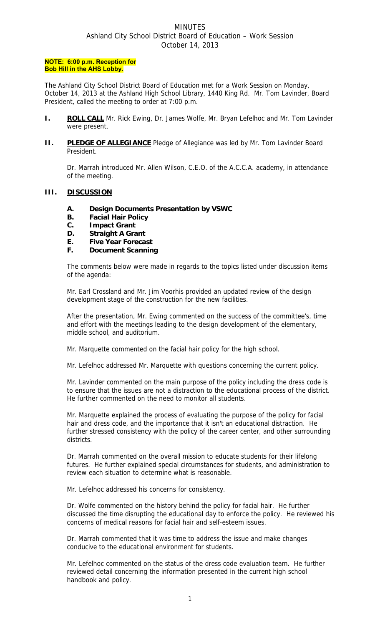# MINUTES Ashland City School District Board of Education – Work Session October 14, 2013

#### **NOTE: 6:00 p.m. Reception for Bob Hill in the AHS Lobby.**

The Ashland City School District Board of Education met for a Work Session on Monday, October 14, 2013 at the Ashland High School Library, 1440 King Rd. Mr. Tom Lavinder, Board President, called the meeting to order at 7:00 p.m.

- **I. ROLL CALL** Mr. Rick Ewing, Dr. James Wolfe, Mr. Bryan Lefelhoc and Mr. Tom Lavinder were present.
- **II.** PLEDGE OF ALLEGIANCE Pledge of Allegiance was led by Mr. Tom Lavinder Board President.

 Dr. Marrah introduced Mr. Allen Wilson, C.E.O. of the A.C.C.A. academy, in attendance of the meeting.

# **III. DISCUSSION**

- **A. Design Documents Presentation by VSWC**
- **B. Facial Hair Policy**
- **C. Impact Grant**
- **D. Straight A Grant**
- **E. Five Year Forecast**
- **F. Document Scanning**

The comments below were made in regards to the topics listed under discussion items of the agenda:

Mr. Earl Crossland and Mr. Jim Voorhis provided an updated review of the design development stage of the construction for the new facilities.

After the presentation, Mr. Ewing commented on the success of the committee's, time and effort with the meetings leading to the design development of the elementary, middle school, and auditorium.

Mr. Marquette commented on the facial hair policy for the high school.

Mr. Lefelhoc addressed Mr. Marquette with questions concerning the current policy.

Mr. Lavinder commented on the main purpose of the policy including the dress code is to ensure that the issues are not a distraction to the educational process of the district. He further commented on the need to monitor all students.

Mr. Marquette explained the process of evaluating the purpose of the policy for facial hair and dress code, and the importance that it isn't an educational distraction. He further stressed consistency with the policy of the career center, and other surrounding districts.

Dr. Marrah commented on the overall mission to educate students for their lifelong futures. He further explained special circumstances for students, and administration to review each situation to determine what is reasonable.

Mr. Lefelhoc addressed his concerns for consistency.

Dr. Wolfe commented on the history behind the policy for facial hair. He further discussed the time disrupting the educational day to enforce the policy. He reviewed his concerns of medical reasons for facial hair and self-esteem issues.

Dr. Marrah commented that it was time to address the issue and make changes conducive to the educational environment for students.

Mr. Lefelhoc commented on the status of the dress code evaluation team. He further reviewed detail concerning the information presented in the current high school handbook and policy.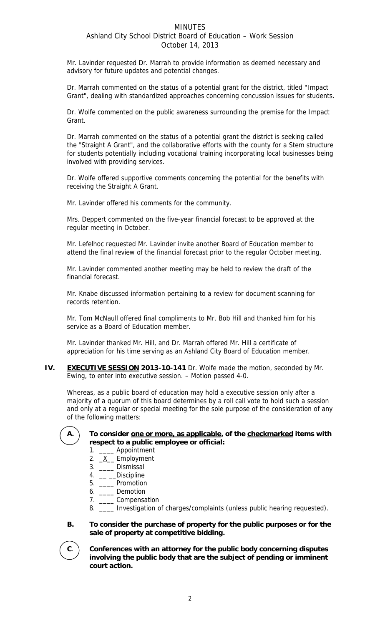# **MINUTES** Ashland City School District Board of Education – Work Session October 14, 2013

Mr. Lavinder requested Dr. Marrah to provide information as deemed necessary and advisory for future updates and potential changes.

Dr. Marrah commented on the status of a potential grant for the district, titled "Impact Grant", dealing with standardized approaches concerning concussion issues for students.

Dr. Wolfe commented on the public awareness surrounding the premise for the Impact Grant.

Dr. Marrah commented on the status of a potential grant the district is seeking called the "Straight A Grant", and the collaborative efforts with the county for a Stem structure for students potentially including vocational training incorporating local businesses being involved with providing services.

Dr. Wolfe offered supportive comments concerning the potential for the benefits with receiving the Straight A Grant.

Mr. Lavinder offered his comments for the community.

Mrs. Deppert commented on the five-year financial forecast to be approved at the regular meeting in October.

Mr. Lefelhoc requested Mr. Lavinder invite another Board of Education member to attend the final review of the financial forecast prior to the regular October meeting.

Mr. Lavinder commented another meeting may be held to review the draft of the financial forecast.

Mr. Knabe discussed information pertaining to a review for document scanning for records retention.

Mr. Tom McNaull offered final compliments to Mr. Bob Hill and thanked him for his service as a Board of Education member.

Mr. Lavinder thanked Mr. Hill, and Dr. Marrah offered Mr. Hill a certificate of appreciation for his time serving as an Ashland City Board of Education member.

**IV.** EXECUTIVE SESSION 2013-10-141 Dr. Wolfe made the motion, seconded by Mr. Ewing, to enter into executive session. – Motion passed 4-0.

 Whereas, as a public board of education may hold a executive session only after a majority of a quorum of this board determines by a roll call vote to hold such a session and only at a regular or special meeting for the sole purpose of the consideration of any of the following matters:

### A. To consider one or more, as applicable, of the checkmarked items with **respect to a public employee or official:**

- 1. \_\_\_\_ Appointment
- 2.  $X$  Employment
- 3. \_\_\_\_ Dismissal
- 4. \_\_\_\_\_Discipline
- 5. \_\_\_\_ Promotion
- 6. \_\_\_\_ Demotion
- 7. \_\_\_\_ Compensation
- 8. \_\_\_\_ Investigation of charges/complaints (unless public hearing requested).
- **B. To consider the purchase of property for the public purposes or for the sale of property at competitive bidding.**

**C**. **Conferences with an attorney for the public body concerning disputes involving the public body that are the subject of pending or imminent court action.**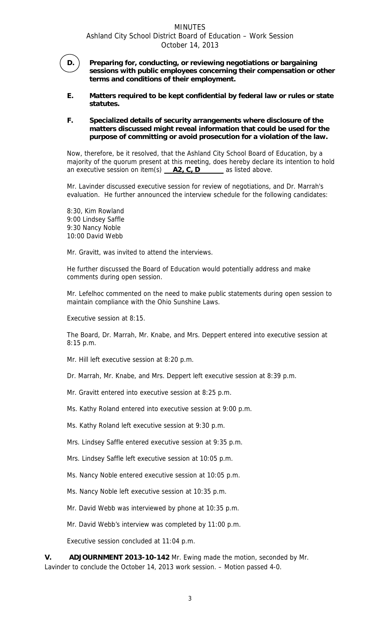# **MINUTES** Ashland City School District Board of Education – Work Session October 14, 2013



**D. Preparing for, conducting, or reviewing negotiations or bargaining sessions with public employees concerning their compensation or other terms and conditions of their employment.** 

**E. Matters required to be kept confidential by federal law or rules or state statutes.** 

## **F. Specialized details of security arrangements where disclosure of the matters discussed might reveal information that could be used for the purpose of committing or avoid prosecution for a violation of the law.**

Now, therefore, be it resolved, that the Ashland City School Board of Education, by a majority of the quorum present at this meeting, does hereby declare its intention to hold an executive session on item(s) **\_\_A2, C, D\_\_\_\_ \_** as listed above.

Mr. Lavinder discussed executive session for review of negotiations, and Dr. Marrah's evaluation. He further announced the interview schedule for the following candidates:

8:30, Kim Rowland 9:00 Lindsey Saffle 9:30 Nancy Noble 10:00 David Webb

Mr. Gravitt, was invited to attend the interviews.

He further discussed the Board of Education would potentially address and make comments during open session.

Mr. Lefelhoc commented on the need to make public statements during open session to maintain compliance with the Ohio Sunshine Laws.

Executive session at 8:15.

The Board, Dr. Marrah, Mr. Knabe, and Mrs. Deppert entered into executive session at 8:15 p.m.

Mr. Hill left executive session at 8:20 p.m.

Dr. Marrah, Mr. Knabe, and Mrs. Deppert left executive session at 8:39 p.m.

Mr. Gravitt entered into executive session at 8:25 p.m.

Ms. Kathy Roland entered into executive session at 9:00 p.m.

Ms. Kathy Roland left executive session at 9:30 p.m.

Mrs. Lindsey Saffle entered executive session at 9:35 p.m.

Mrs. Lindsey Saffle left executive session at 10:05 p.m.

Ms. Nancy Noble entered executive session at 10:05 p.m.

Ms. Nancy Noble left executive session at 10:35 p.m.

Mr. David Webb was interviewed by phone at 10:35 p.m.

Mr. David Webb's interview was completed by 11:00 p.m.

Executive session concluded at 11:04 p.m.

**V. ADJOURNMENT 2013-10-142** Mr. Ewing made the motion, seconded by Mr. Lavinder to conclude the October 14, 2013 work session. – Motion passed 4-0.